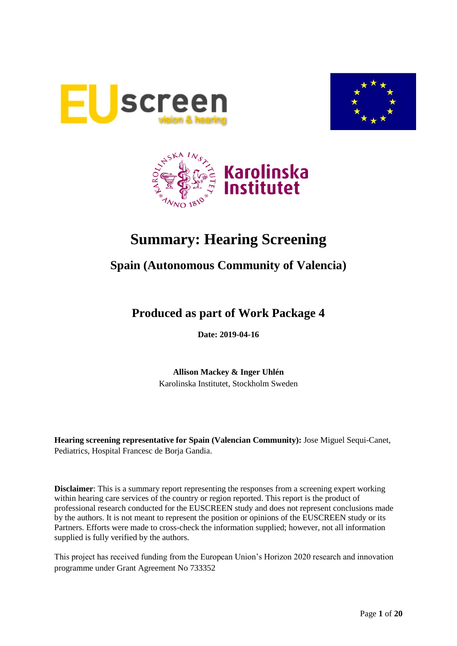





# **Summary: Hearing Screening**

# **Spain (Autonomous Community of Valencia)**

# **Produced as part of Work Package 4**

**Date: 2019-04-16**

**Allison Mackey & Inger Uhlén** Karolinska Institutet, Stockholm Sweden

**Hearing screening representative for Spain (Valencian Community):** Jose Miguel Sequi-Canet, Pediatrics, Hospital Francesc de Borja Gandia.

**Disclaimer**: This is a summary report representing the responses from a screening expert working within hearing care services of the country or region reported. This report is the product of professional research conducted for the EUSCREEN study and does not represent conclusions made by the authors. It is not meant to represent the position or opinions of the EUSCREEN study or its Partners. Efforts were made to cross-check the information supplied; however, not all information supplied is fully verified by the authors.

This project has received funding from the European Union's Horizon 2020 research and innovation programme under Grant Agreement No 733352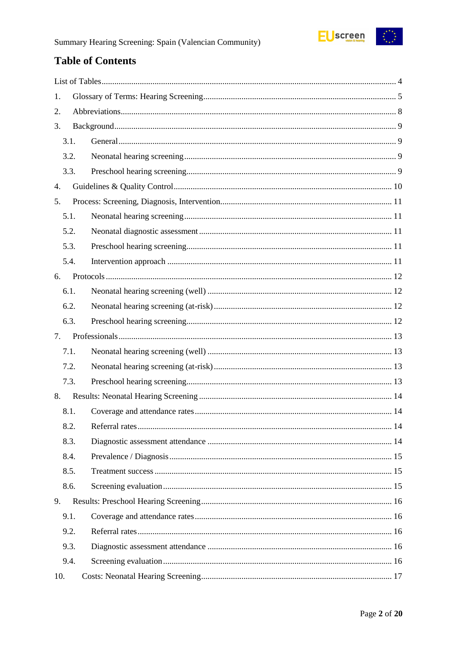

# **Table of Contents**

| 1.   |  |
|------|--|
| 2.   |  |
| 3.   |  |
| 3.1. |  |
| 3.2. |  |
| 3.3. |  |
| 4.   |  |
| 5.   |  |
| 5.1. |  |
| 5.2. |  |
| 5.3. |  |
| 5.4. |  |
| 6.   |  |
| 6.1. |  |
| 6.2. |  |
| 6.3. |  |
| 7.   |  |
| 7.1. |  |
| 7.2. |  |
| 7.3. |  |
| 8.   |  |
| 8.1. |  |
| 8.2. |  |
| 8.3. |  |
| 8.4. |  |
| 8.5. |  |
| 8.6. |  |
| 9.   |  |
|      |  |
| 9.1. |  |
| 9.2. |  |
| 9.3. |  |
| 9.4. |  |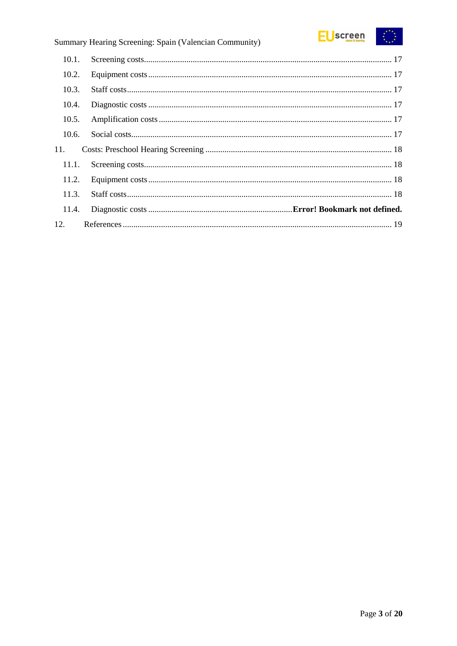

| 10.1. |  |
|-------|--|
| 10.2. |  |
| 10.3. |  |
| 10.4. |  |
| 10.5. |  |
| 10.6. |  |
| 11.   |  |
| 11.1. |  |
| 11.2. |  |
| 11.3. |  |
| 11.4. |  |
| 12.   |  |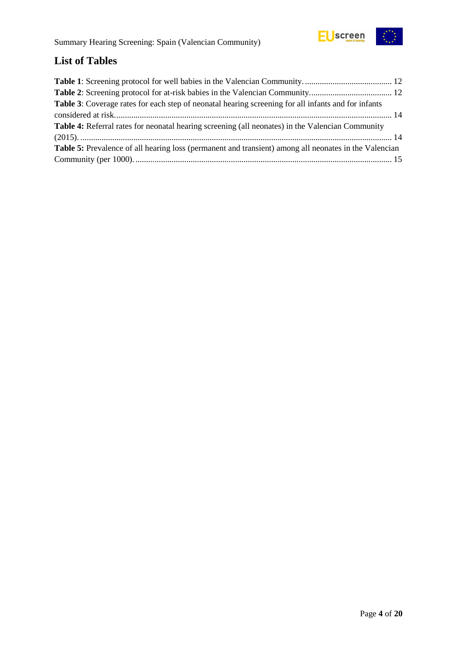

# <span id="page-3-0"></span>**List of Tables**

| Table 3: Coverage rates for each step of neonatal hearing screening for all infants and for infants          |  |
|--------------------------------------------------------------------------------------------------------------|--|
|                                                                                                              |  |
| <b>Table 4:</b> Referral rates for neonatal hearing screening (all neonates) in the Valencian Community      |  |
|                                                                                                              |  |
| <b>Table 5:</b> Prevalence of all hearing loss (permanent and transient) among all neonates in the Valencian |  |
|                                                                                                              |  |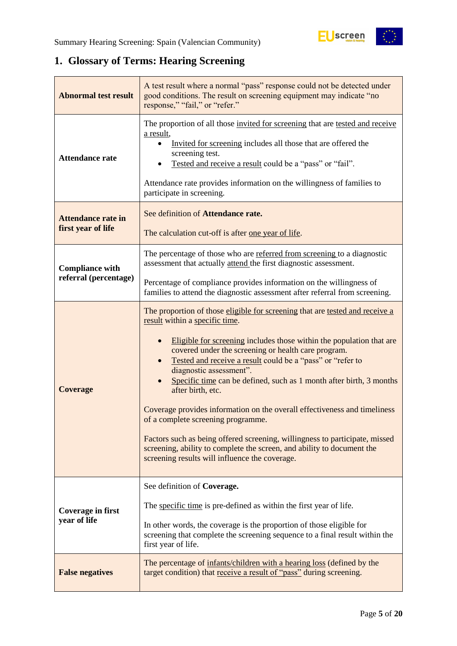# <span id="page-4-0"></span>**1. Glossary of Terms: Hearing Screening**

| <b>Abnormal test result</b>                     | A test result where a normal "pass" response could not be detected under<br>good conditions. The result on screening equipment may indicate "no<br>response," "fail," or "refer."                                                                                                                                                                                                                                                                                                                                                                                                                                                                                                                                                                                |
|-------------------------------------------------|------------------------------------------------------------------------------------------------------------------------------------------------------------------------------------------------------------------------------------------------------------------------------------------------------------------------------------------------------------------------------------------------------------------------------------------------------------------------------------------------------------------------------------------------------------------------------------------------------------------------------------------------------------------------------------------------------------------------------------------------------------------|
| <b>Attendance rate</b>                          | The proportion of all those invited for screening that are tested and receive<br>a result,<br>Invited for screening includes all those that are offered the<br>screening test.<br>Tested and receive a result could be a "pass" or "fail".<br>Attendance rate provides information on the willingness of families to<br>participate in screening.                                                                                                                                                                                                                                                                                                                                                                                                                |
| <b>Attendance rate in</b><br>first year of life | See definition of Attendance rate.<br>The calculation cut-off is after one year of life.                                                                                                                                                                                                                                                                                                                                                                                                                                                                                                                                                                                                                                                                         |
| <b>Compliance with</b><br>referral (percentage) | The percentage of those who are referred from screening to a diagnostic<br>assessment that actually attend the first diagnostic assessment.                                                                                                                                                                                                                                                                                                                                                                                                                                                                                                                                                                                                                      |
|                                                 | Percentage of compliance provides information on the willingness of<br>families to attend the diagnostic assessment after referral from screening.                                                                                                                                                                                                                                                                                                                                                                                                                                                                                                                                                                                                               |
| <b>Coverage</b>                                 | The proportion of those eligible for screening that are tested and receive a<br>result within a specific time.<br>Eligible for screening includes those within the population that are<br>covered under the screening or health care program.<br>Tested and receive a result could be a "pass" or "refer to<br>diagnostic assessment".<br>Specific time can be defined, such as 1 month after birth, 3 months<br>after birth, etc.<br>Coverage provides information on the overall effectiveness and timeliness<br>of a complete screening programme.<br>Factors such as being offered screening, willingness to participate, missed<br>screening, ability to complete the screen, and ability to document the<br>screening results will influence the coverage. |
| Coverage in first<br>year of life               | See definition of Coverage.<br>The specific time is pre-defined as within the first year of life.<br>In other words, the coverage is the proportion of those eligible for<br>screening that complete the screening sequence to a final result within the<br>first year of life.                                                                                                                                                                                                                                                                                                                                                                                                                                                                                  |
| <b>False negatives</b>                          | The percentage of infants/children with a hearing loss (defined by the<br>target condition) that receive a result of "pass" during screening.                                                                                                                                                                                                                                                                                                                                                                                                                                                                                                                                                                                                                    |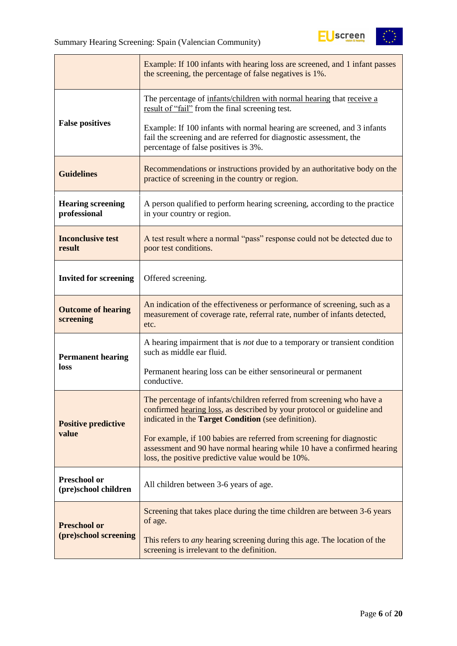

|                                             | Example: If 100 infants with hearing loss are screened, and 1 infant passes<br>the screening, the percentage of false negatives is 1%.                                                                        |  |  |
|---------------------------------------------|---------------------------------------------------------------------------------------------------------------------------------------------------------------------------------------------------------------|--|--|
|                                             | The percentage of infants/children with normal hearing that receive a<br>result of "fail" from the final screening test.                                                                                      |  |  |
| <b>False positives</b>                      | Example: If 100 infants with normal hearing are screened, and 3 infants<br>fail the screening and are referred for diagnostic assessment, the<br>percentage of false positives is 3%.                         |  |  |
| <b>Guidelines</b>                           | Recommendations or instructions provided by an authoritative body on the<br>practice of screening in the country or region.                                                                                   |  |  |
| <b>Hearing screening</b><br>professional    | A person qualified to perform hearing screening, according to the practice<br>in your country or region.                                                                                                      |  |  |
| <b>Inconclusive test</b><br>result          | A test result where a normal "pass" response could not be detected due to<br>poor test conditions.                                                                                                            |  |  |
| <b>Invited for screening</b>                | Offered screening.                                                                                                                                                                                            |  |  |
| <b>Outcome of hearing</b><br>screening      | An indication of the effectiveness or performance of screening, such as a<br>measurement of coverage rate, referral rate, number of infants detected,<br>etc.                                                 |  |  |
| <b>Permanent hearing</b>                    | A hearing impairment that is <i>not</i> due to a temporary or transient condition<br>such as middle ear fluid.                                                                                                |  |  |
| loss                                        | Permanent hearing loss can be either sensorineural or permanent<br>conductive.                                                                                                                                |  |  |
| <b>Positive predictive</b>                  | The percentage of infants/children referred from screening who have a<br>confirmed hearing loss, as described by your protocol or guideline and<br>indicated in the <b>Target Condition</b> (see definition). |  |  |
| value                                       | For example, if 100 babies are referred from screening for diagnostic<br>assessment and 90 have normal hearing while 10 have a confirmed hearing<br>loss, the positive predictive value would be 10%.         |  |  |
| <b>Preschool or</b><br>(pre)school children | All children between 3-6 years of age.                                                                                                                                                                        |  |  |
| <b>Preschool or</b>                         | Screening that takes place during the time children are between 3-6 years<br>of age.                                                                                                                          |  |  |
| (pre)school screening                       | This refers to any hearing screening during this age. The location of the<br>screening is irrelevant to the definition.                                                                                       |  |  |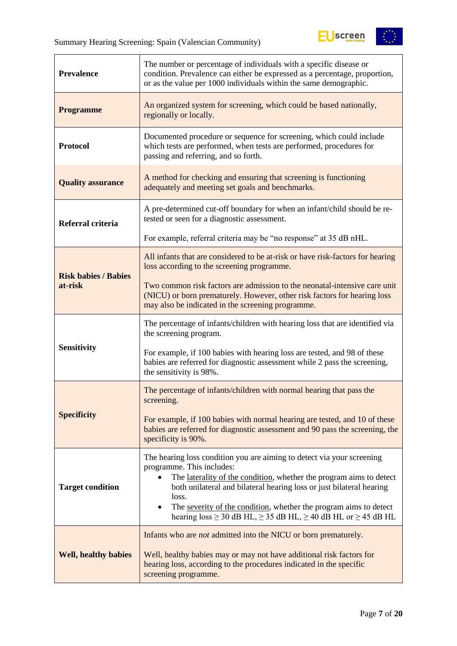$\overline{a}$ 



| <b>Prevalence</b>           | The number or percentage of individuals with a specific disease or<br>condition. Prevalence can either be expressed as a percentage, proportion,<br>or as the value per 1000 individuals within the same demographic.                                                                                                                                                                                                                       |  |  |
|-----------------------------|---------------------------------------------------------------------------------------------------------------------------------------------------------------------------------------------------------------------------------------------------------------------------------------------------------------------------------------------------------------------------------------------------------------------------------------------|--|--|
| <b>Programme</b>            | An organized system for screening, which could be based nationally,<br>regionally or locally.                                                                                                                                                                                                                                                                                                                                               |  |  |
| <b>Protocol</b>             | Documented procedure or sequence for screening, which could include<br>which tests are performed, when tests are performed, procedures for<br>passing and referring, and so forth.                                                                                                                                                                                                                                                          |  |  |
| <b>Quality assurance</b>    | A method for checking and ensuring that screening is functioning<br>adequately and meeting set goals and benchmarks.                                                                                                                                                                                                                                                                                                                        |  |  |
| Referral criteria           | A pre-determined cut-off boundary for when an infant/child should be re-<br>tested or seen for a diagnostic assessment.                                                                                                                                                                                                                                                                                                                     |  |  |
|                             | For example, referral criteria may be "no response" at 35 dB nHL.                                                                                                                                                                                                                                                                                                                                                                           |  |  |
| <b>Risk babies / Babies</b> | All infants that are considered to be at-risk or have risk-factors for hearing<br>loss according to the screening programme.                                                                                                                                                                                                                                                                                                                |  |  |
| at-risk                     | Two common risk factors are admission to the neonatal-intensive care unit<br>(NICU) or born prematurely. However, other risk factors for hearing loss<br>may also be indicated in the screening programme.                                                                                                                                                                                                                                  |  |  |
|                             | The percentage of infants/children with hearing loss that are identified via<br>the screening program.                                                                                                                                                                                                                                                                                                                                      |  |  |
| <b>Sensitivity</b>          | For example, if 100 babies with hearing loss are tested, and 98 of these<br>babies are referred for diagnostic assessment while 2 pass the screening,<br>the sensitivity is 98%.                                                                                                                                                                                                                                                            |  |  |
|                             | The percentage of infants/children with normal hearing that pass the<br>screening.                                                                                                                                                                                                                                                                                                                                                          |  |  |
| <b>Specificity</b>          | For example, if 100 babies with normal hearing are tested, and 10 of these<br>babies are referred for diagnostic assessment and 90 pass the screening, the<br>specificity is 90%.                                                                                                                                                                                                                                                           |  |  |
| <b>Target condition</b>     | The hearing loss condition you are aiming to detect via your screening<br>programme. This includes:<br>The laterality of the condition, whether the program aims to detect<br>$\bullet$<br>both unilateral and bilateral hearing loss or just bilateral hearing<br>loss.<br>The severity of the condition, whether the program aims to detect<br>$\bullet$<br>hearing $loss \ge 30$ dB HL, $\ge 35$ dB HL, $\ge 40$ dB HL or $\ge 45$ dB HL |  |  |
| <b>Well, healthy babies</b> | Infants who are <i>not</i> admitted into the NICU or born prematurely.<br>Well, healthy babies may or may not have additional risk factors for<br>hearing loss, according to the procedures indicated in the specific<br>screening programme.                                                                                                                                                                                               |  |  |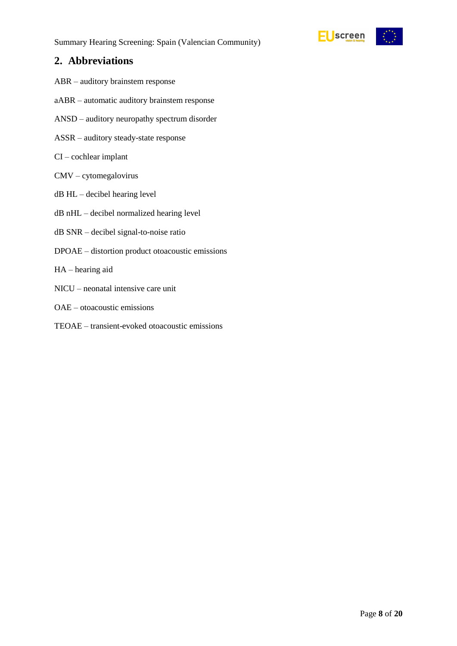

# <span id="page-7-0"></span>**2. Abbreviations**

- ABR auditory brainstem response
- aABR automatic auditory brainstem response
- ANSD auditory neuropathy spectrum disorder
- ASSR auditory steady-state response
- CI cochlear implant
- CMV cytomegalovirus
- dB HL decibel hearing level
- dB nHL decibel normalized hearing level
- dB SNR decibel signal-to-noise ratio
- DPOAE distortion product otoacoustic emissions
- HA hearing aid
- NICU neonatal intensive care unit
- OAE otoacoustic emissions
- TEOAE transient-evoked otoacoustic emissions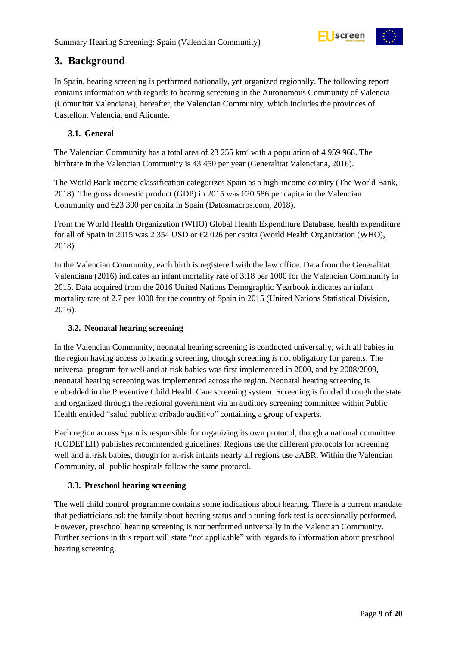

# <span id="page-8-0"></span>**3. Background**

In Spain, hearing screening is performed nationally, yet organized regionally. The following report contains information with regards to hearing screening in the Autonomous Community of Valencia (Comunitat Valenciana), hereafter, the Valencian Community, which includes the provinces of Castellon, Valencia, and Alicante.

#### <span id="page-8-1"></span>**3.1. General**

The Valencian Community has a total area of 23 255 km<sup>2</sup> with a population of 4 959 968. The birthrate in the Valencian Community is 43 450 per year (Generalitat Valenciana, 2016).

The World Bank income classification categorizes Spain as a high-income country (The World Bank, 2018). The gross domestic product (GDP) in 2015 was €20 586 per capita in the Valencian Community and €23 300 per capita in Spain (Datosmacros.com, 2018).

From the World Health Organization (WHO) Global Health Expenditure Database, health expenditure for all of Spain in 2015 was 2 354 USD or €2 026 per capita (World Health Organization (WHO), 2018).

In the Valencian Community, each birth is registered with the law office. Data from the Generalitat Valenciana (2016) indicates an infant mortality rate of 3.18 per 1000 for the Valencian Community in 2015. Data acquired from the 2016 United Nations Demographic Yearbook indicates an infant mortality rate of 2.7 per 1000 for the country of Spain in 2015 (United Nations Statistical Division, 2016).

#### <span id="page-8-2"></span>**3.2. Neonatal hearing screening**

In the Valencian Community, neonatal hearing screening is conducted universally, with all babies in the region having access to hearing screening, though screening is not obligatory for parents. The universal program for well and at-risk babies was first implemented in 2000, and by 2008/2009, neonatal hearing screening was implemented across the region. Neonatal hearing screening is embedded in the Preventive Child Health Care screening system. Screening is funded through the state and organized through the regional government via an auditory screening committee within Public Health entitled "salud publica: cribado auditivo" containing a group of experts.

Each region across Spain is responsible for organizing its own protocol, though a national committee (CODEPEH) publishes recommended guidelines. Regions use the different protocols for screening well and at-risk babies, though for at-risk infants nearly all regions use aABR. Within the Valencian Community, all public hospitals follow the same protocol.

#### <span id="page-8-3"></span>**3.3. Preschool hearing screening**

The well child control programme contains some indications about hearing. There is a current mandate that pediatricians ask the family about hearing status and a tuning fork test is occasionally performed. However, preschool hearing screening is not performed universally in the Valencian Community. Further sections in this report will state "not applicable" with regards to information about preschool hearing screening.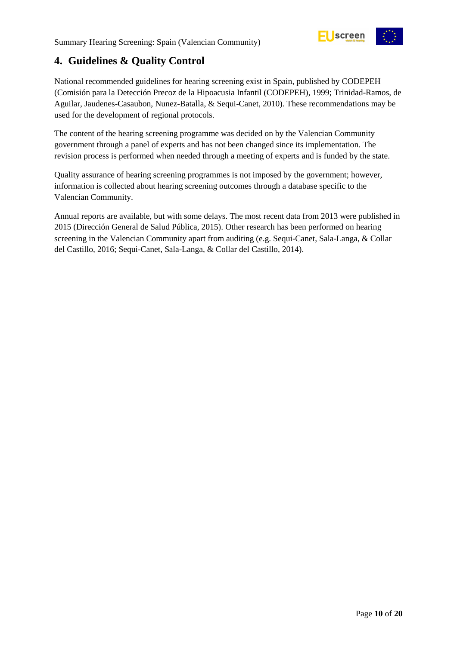

# <span id="page-9-0"></span>**4. Guidelines & Quality Control**

National recommended guidelines for hearing screening exist in Spain, published by CODEPEH (Comisión para la Detección Precoz de la Hipoacusia Infantil (CODEPEH), 1999; Trinidad-Ramos, de Aguilar, Jaudenes-Casaubon, Nunez-Batalla, & Sequi-Canet, 2010). These recommendations may be used for the development of regional protocols.

The content of the hearing screening programme was decided on by the Valencian Community government through a panel of experts and has not been changed since its implementation. The revision process is performed when needed through a meeting of experts and is funded by the state.

Quality assurance of hearing screening programmes is not imposed by the government; however, information is collected about hearing screening outcomes through a database specific to the Valencian Community.

Annual reports are available, but with some delays. The most recent data from 2013 were published in 2015 (Dirección General de Salud Pública, 2015). Other research has been performed on hearing screening in the Valencian Community apart from auditing (e.g. Sequi-Canet, Sala-Langa, & Collar del Castillo, 2016; Sequi-Canet, Sala-Langa, & Collar del Castillo, 2014).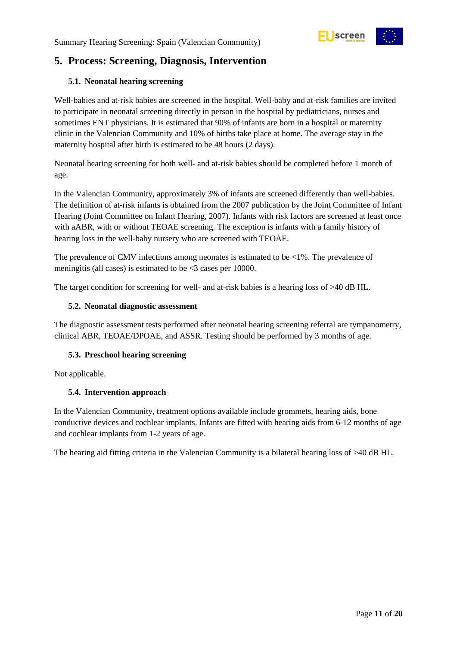

# <span id="page-10-0"></span>**5. Process: Screening, Diagnosis, Intervention**

#### <span id="page-10-1"></span>**5.1. Neonatal hearing screening**

Well-babies and at-risk babies are screened in the hospital. Well-baby and at-risk families are invited to participate in neonatal screening directly in person in the hospital by pediatricians, nurses and sometimes ENT physicians. It is estimated that 90% of infants are born in a hospital or maternity clinic in the Valencian Community and 10% of births take place at home. The average stay in the maternity hospital after birth is estimated to be 48 hours (2 days).

Neonatal hearing screening for both well- and at-risk babies should be completed before 1 month of age.

In the Valencian Community, approximately 3% of infants are screened differently than well-babies. The definition of at-risk infants is obtained from the 2007 publication by the Joint Committee of Infant Hearing (Joint Committee on Infant Hearing, 2007). Infants with risk factors are screened at least once with aABR, with or without TEOAE screening. The exception is infants with a family history of hearing loss in the well-baby nursery who are screened with TEOAE.

The prevalence of CMV infections among neonates is estimated to be  $\langle 1\% \rangle$ . The prevalence of meningitis (all cases) is estimated to be <3 cases per 10000.

The target condition for screening for well- and at-risk babies is a hearing loss of >40 dB HL.

#### <span id="page-10-2"></span>**5.2. Neonatal diagnostic assessment**

The diagnostic assessment tests performed after neonatal hearing screening referral are tympanometry, clinical ABR, TEOAE/DPOAE, and ASSR. Testing should be performed by 3 months of age.

#### <span id="page-10-3"></span>**5.3. Preschool hearing screening**

Not applicable.

#### <span id="page-10-4"></span>**5.4. Intervention approach**

In the Valencian Community, treatment options available include grommets, hearing aids, bone conductive devices and cochlear implants. Infants are fitted with hearing aids from 6-12 months of age and cochlear implants from 1-2 years of age.

The hearing aid fitting criteria in the Valencian Community is a bilateral hearing loss of >40 dB HL.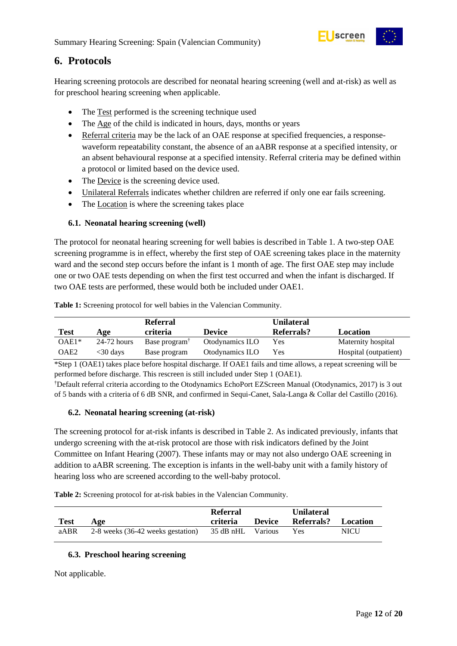

### <span id="page-11-0"></span>**6. Protocols**

Hearing screening protocols are described for neonatal hearing screening (well and at-risk) as well as for preschool hearing screening when applicable.

- The Test performed is the screening technique used
- The Age of the child is indicated in hours, days, months or years
- Referral criteria may be the lack of an OAE response at specified frequencies, a responsewaveform repeatability constant, the absence of an aABR response at a specified intensity, or an absent behavioural response at a specified intensity. Referral criteria may be defined within a protocol or limited based on the device used.
- The Device is the screening device used.
- Unilateral Referrals indicates whether children are referred if only one ear fails screening.
- The Location is where the screening takes place

#### <span id="page-11-1"></span>**6.1. Neonatal hearing screening (well)**

The protocol for neonatal hearing screening for well babies is described in Table 1. A two-step OAE screening programme is in effect, whereby the first step of OAE screening takes place in the maternity ward and the second step occurs before the infant is 1 month of age. The first OAE step may include one or two OAE tests depending on when the first test occurred and when the infant is discharged. If two OAE tests are performed, these would both be included under OAE1.

|         |               | <b>Referral</b>           |                 | <b>Unilateral</b> |                       |
|---------|---------------|---------------------------|-----------------|-------------------|-----------------------|
| Test    | Age           | criteria                  | <b>Device</b>   | Referrals?        | Location              |
| $OAE1*$ | $24-72$ hours | Base program <sup>T</sup> | Otodynamics ILO | Yes               | Maternity hospital    |
| OAE2    | <30 days      | Base program              | Otodynamics ILO | Yes               | Hospital (outpatient) |

<span id="page-11-4"></span>**Table 1:** Screening protocol for well babies in the Valencian Community.

\*Step 1 (OAE1) takes place before hospital discharge. If OAE1 fails and time allows, a repeat screening will be performed before discharge. This rescreen is still included under Step 1 (OAE1).

†Default referral criteria according to the Otodynamics EchoPort EZScreen Manual (Otodynamics, 2017) is 3 out of 5 bands with a criteria of 6 dB SNR, and confirmed in Sequi-Canet, Sala-Langa & Collar del Castillo (2016).

#### <span id="page-11-2"></span>**6.2. Neonatal hearing screening (at-risk)**

The screening protocol for at-risk infants is described in Table 2. As indicated previously, infants that undergo screening with the at-risk protocol are those with risk indicators defined by the Joint Committee on Infant Hearing (2007). These infants may or may not also undergo OAE screening in addition to aABR screening. The exception is infants in the well-baby unit with a family history of hearing loss who are screened according to the well-baby protocol.

<span id="page-11-5"></span>**Table 2:** Screening protocol for at-risk babies in the Valencian Community.

|             |                                   | <b>Referral</b>   |               | <b>Unilateral</b> |             |
|-------------|-----------------------------------|-------------------|---------------|-------------------|-------------|
| <b>Test</b> | Age                               | criteria          | <b>Device</b> | <b>Referrals?</b> | Location    |
| aABR        | 2-8 weeks (36-42 weeks gestation) | 35 dB nHL Various |               | <b>Yes</b>        | <b>NICU</b> |

#### <span id="page-11-3"></span>**6.3. Preschool hearing screening**

Not applicable.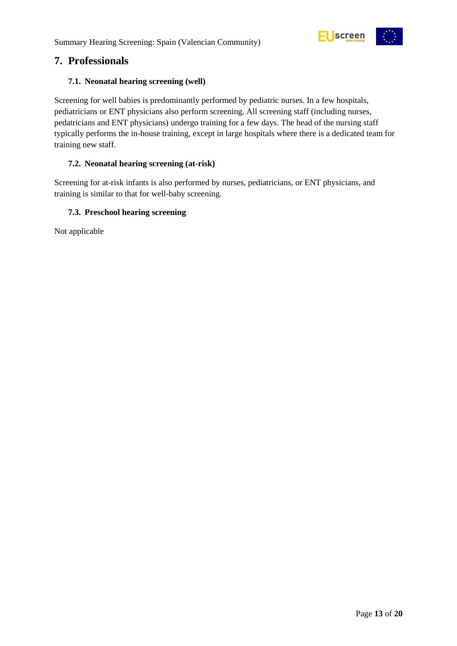

### <span id="page-12-0"></span>**7. Professionals**

#### <span id="page-12-1"></span>**7.1. Neonatal hearing screening (well)**

Screening for well babies is predominantly performed by pediatric nurses. In a few hospitals, pediatricians or ENT physicians also perform screening. All screening staff (including nurses, pedatricians and ENT physicians) undergo training for a few days. The head of the nursing staff typically performs the in-house training, except in large hospitals where there is a dedicated team for training new staff.

#### <span id="page-12-2"></span>**7.2. Neonatal hearing screening (at-risk)**

Screening for at-risk infants is also performed by nurses, pediatricians, or ENT physicians, and training is similar to that for well-baby screening.

#### <span id="page-12-3"></span>**7.3. Preschool hearing screening**

Not applicable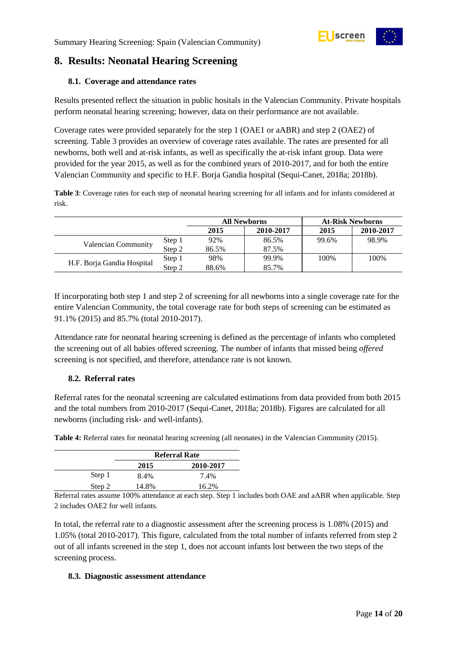

# <span id="page-13-0"></span>**8. Results: Neonatal Hearing Screening**

#### <span id="page-13-1"></span>**8.1. Coverage and attendance rates**

Results presented reflect the situation in public hositals in the Valencian Community. Private hospitals perform neonatal hearing screening; however, data on their performance are not available.

Coverage rates were provided separately for the step 1 (OAE1 or aABR) and step 2 (OAE2) of screening. [Table 3](#page-13-4) provides an overview of coverage rates available. The rates are presented for all newborns, both well and at-risk infants, as well as specifically the at-risk infant group. Data were provided for the year 2015, as well as for the combined years of 2010-2017, and for both the entire Valencian Community and specific to H.F. Borja Gandia hospital (Sequi-Canet, 2018a; 2018b).

<span id="page-13-4"></span>**Table 3**: Coverage rates for each step of neonatal hearing screening for all infants and for infants considered at risk.

|                            |        | <b>All Newborns</b> |           | <b>At-Risk Newborns</b> |           |
|----------------------------|--------|---------------------|-----------|-------------------------|-----------|
|                            |        | 2015                | 2010-2017 | 2015                    | 2010-2017 |
|                            | Step 1 | 92%                 | 86.5%     | 99.6%                   | 98.9%     |
| Valencian Community        | Step 2 | 86.5%               | 87.5%     |                         |           |
|                            | Step 1 | 98%                 | 99.9%     | 100%                    | 100%      |
| H.F. Borja Gandia Hospital | Step 2 | 88.6%               | 85.7%     |                         |           |

If incorporating both step 1 and step 2 of screening for all newborns into a single coverage rate for the entire Valencian Community, the total coverage rate for both steps of screening can be estimated as 91.1% (2015) and 85.7% (total 2010-2017).

Attendance rate for neonatal hearing screening is defined as the percentage of infants who completed the screening out of all babies offered screening. The number of infants that missed being *offered* screening is not specified, and therefore, attendance rate is not known.

#### <span id="page-13-2"></span>**8.2. Referral rates**

Referral rates for the neonatal screening are calculated estimations from data provided from both 2015 and the total numbers from 2010-2017 (Sequi-Canet, 2018a; 2018b). Figures are calculated for all newborns (including risk- and well-infants).

<span id="page-13-5"></span>**Table 4:** Referral rates for neonatal hearing screening (all neonates) in the Valencian Community (2015).

|        | <b>Referral Rate</b> |       |  |
|--------|----------------------|-------|--|
|        | 2010-2017<br>2015    |       |  |
| Step 1 | 8.4%                 | 7.4%  |  |
| Step 2 | 14.8%                | 16.2% |  |

Referral rates assume 100% attendance at each step. Step 1 includes both OAE and aABR when applicable. Step 2 includes OAE2 for well infants.

In total, the referral rate to a diagnostic assessment after the screening process is 1.08% (2015) and 1.05% (total 2010-2017). This figure, calculated from the total number of infants referred from step 2 out of all infants screened in the step 1, does not account infants lost between the two steps of the screening process.

#### <span id="page-13-3"></span>**8.3. Diagnostic assessment attendance**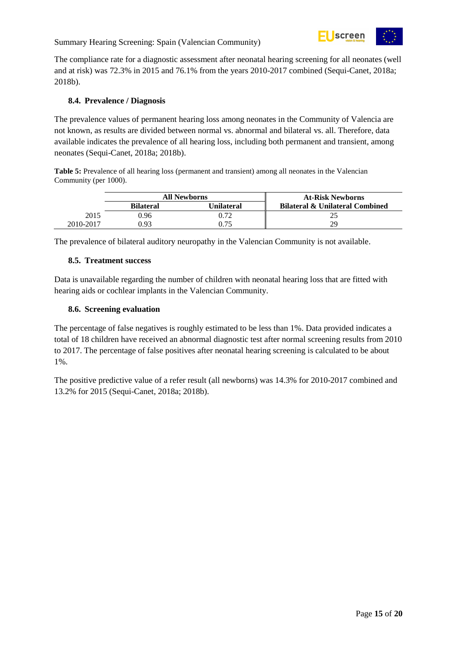

The compliance rate for a diagnostic assessment after neonatal hearing screening for all neonates (well and at risk) was 72.3% in 2015 and 76.1% from the years 2010-2017 combined (Sequi-Canet, 2018a; 2018b).

#### <span id="page-14-0"></span>**8.4. Prevalence / Diagnosis**

The prevalence values of permanent hearing loss among neonates in the Community of Valencia are not known, as results are divided between normal vs. abnormal and bilateral vs. all. Therefore, data available indicates the prevalence of all hearing loss, including both permanent and transient, among neonates (Sequi-Canet, 2018a; 2018b).

<span id="page-14-3"></span>**Table 5:** Prevalence of all hearing loss (permanent and transient) among all neonates in the Valencian Community (per 1000).

|           | <b>All Newborns</b> |                    | <b>At-Risk Newborns</b>                    |
|-----------|---------------------|--------------------|--------------------------------------------|
|           | <b>Bilateral</b>    | U <b>nilateral</b> | <b>Bilateral &amp; Unilateral Combined</b> |
| 2015      | 0.96                | 0.72               |                                            |
| 2010-2017 | 0.93                | ).75               | 29                                         |

The prevalence of bilateral auditory neuropathy in the Valencian Community is not available.

#### <span id="page-14-1"></span>**8.5. Treatment success**

Data is unavailable regarding the number of children with neonatal hearing loss that are fitted with hearing aids or cochlear implants in the Valencian Community.

#### <span id="page-14-2"></span>**8.6. Screening evaluation**

The percentage of false negatives is roughly estimated to be less than 1%. Data provided indicates a total of 18 children have received an abnormal diagnostic test after normal screening results from 2010 to 2017. The percentage of false positives after neonatal hearing screening is calculated to be about 1%.

The positive predictive value of a refer result (all newborns) was 14.3% for 2010-2017 combined and 13.2% for 2015 (Sequi-Canet, 2018a; 2018b).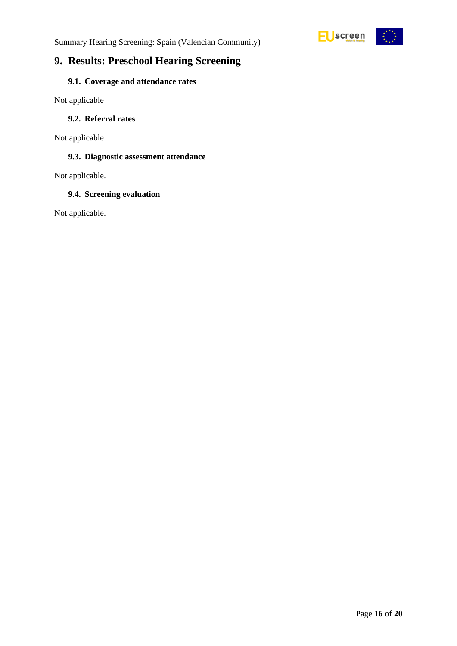



# <span id="page-15-0"></span>**9. Results: Preschool Hearing Screening**

### <span id="page-15-1"></span>**9.1. Coverage and attendance rates**

Not applicable

#### <span id="page-15-2"></span>**9.2. Referral rates**

Not applicable

#### <span id="page-15-3"></span>**9.3. Diagnostic assessment attendance**

Not applicable.

#### <span id="page-15-4"></span>**9.4. Screening evaluation**

Not applicable.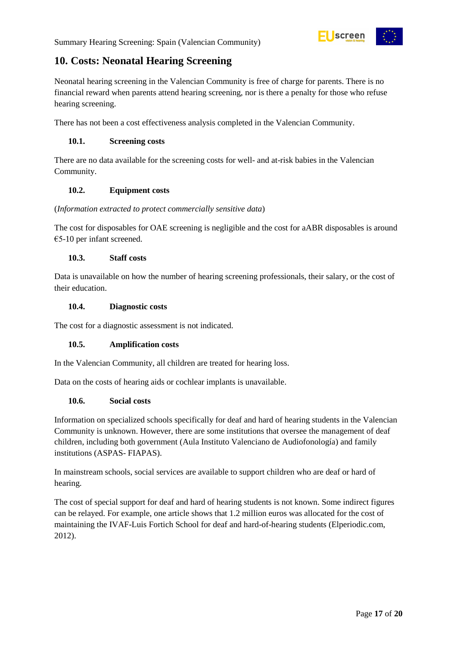

# <span id="page-16-0"></span>**10. Costs: Neonatal Hearing Screening**

Neonatal hearing screening in the Valencian Community is free of charge for parents. There is no financial reward when parents attend hearing screening, nor is there a penalty for those who refuse hearing screening.

There has not been a cost effectiveness analysis completed in the Valencian Community.

#### <span id="page-16-1"></span>**10.1. Screening costs**

There are no data available for the screening costs for well- and at-risk babies in the Valencian Community.

#### <span id="page-16-2"></span>**10.2. Equipment costs**

#### (*Information extracted to protect commercially sensitive data*)

The cost for disposables for OAE screening is negligible and the cost for aABR disposables is around  $€5-10$  per infant screened.

#### <span id="page-16-3"></span>**10.3. Staff costs**

Data is unavailable on how the number of hearing screening professionals, their salary, or the cost of their education.

#### <span id="page-16-4"></span>**10.4. Diagnostic costs**

The cost for a diagnostic assessment is not indicated.

#### <span id="page-16-5"></span>**10.5. Amplification costs**

In the Valencian Community, all children are treated for hearing loss.

Data on the costs of hearing aids or cochlear implants is unavailable.

#### <span id="page-16-6"></span>**10.6. Social costs**

Information on specialized schools specifically for deaf and hard of hearing students in the Valencian Community is unknown. However, there are some institutions that oversee the management of deaf children, including both government (Aula Instituto Valenciano de Audiofonología) and family institutions (ASPAS- FIAPAS).

In mainstream schools, social services are available to support children who are deaf or hard of hearing.

The cost of special support for deaf and hard of hearing students is not known. Some indirect figures can be relayed. For example, one article shows that 1.2 million euros was allocated for the cost of maintaining the IVAF-Luis Fortich School for deaf and hard-of-hearing students (Elperiodic.com, 2012).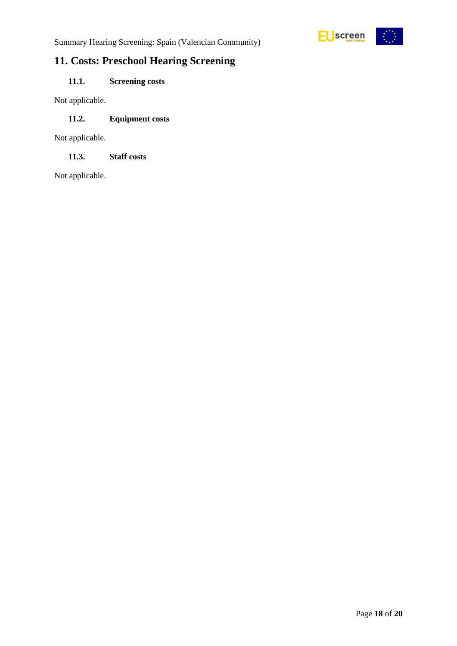

# <span id="page-17-0"></span>**11. Costs: Preschool Hearing Screening**

### <span id="page-17-1"></span>**11.1. Screening costs**

Not applicable.

#### <span id="page-17-2"></span>**11.2. Equipment costs**

Not applicable.

<span id="page-17-3"></span>**11.3. Staff costs**

Not applicable.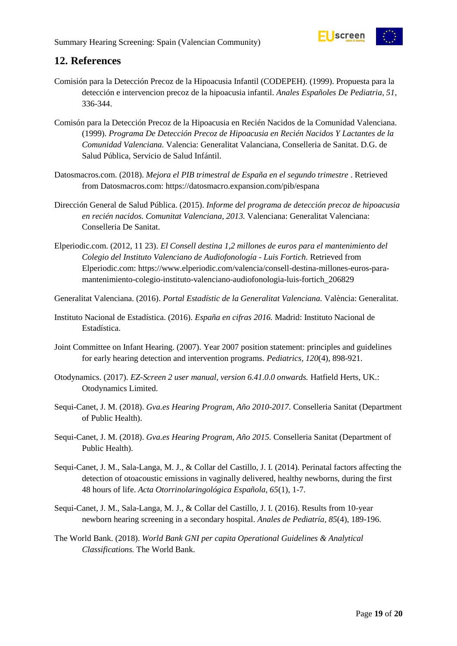

# <span id="page-18-0"></span>**12. References**

- Comisión para la Detección Precoz de la Hipoacusia Infantil (CODEPEH). (1999). Propuesta para la detección e intervencion precoz de la hipoacusia infantil. *Anales Españoles De Pediatria, 51*, 336-344.
- Comisón para la Detección Precoz de la Hipoacusia en Recién Nacidos de la Comunidad Valenciana. (1999). *Programa De Detección Precoz de Hipoacusia en Recién Nacidos Y Lactantes de la Comunidad Valenciana.* Valencia: Generalitat Valanciana, Conselleria de Sanitat. D.G. de Salud Pública, Servicio de Salud Infántil.
- Datosmacros.com. (2018). *Mejora el PIB trimestral de España en el segundo trimestre* . Retrieved from Datosmacros.com: https://datosmacro.expansion.com/pib/espana
- Dirección General de Salud Pública. (2015). *Informe del programa de detección precoz de hipoacusia en recién nacidos. Comunitat Valenciana, 2013.* Valenciana: Generalitat Valenciana: Conselleria De Sanitat.
- Elperiodic.com. (2012, 11 23). *El Consell destina 1,2 millones de euros para el mantenimiento del Colegio del Instituto Valenciano de Audiofonología - Luis Fortich*. Retrieved from Elperiodic.com: https://www.elperiodic.com/valencia/consell-destina-millones-euros-paramantenimiento-colegio-instituto-valenciano-audiofonologia-luis-fortich\_206829
- Generalitat Valenciana. (2016). *Portal Estadístic de la Generalitat Valenciana.* València: Generalitat.
- Instituto Nacional de Estadística. (2016). *España en cifras 2016.* Madrid: Instituto Nacional de Estadística.
- Joint Committee on Infant Hearing. (2007). Year 2007 position statement: principles and guidelines for early hearing detection and intervention programs. *Pediatrics, 120*(4), 898-921.
- Otodynamics. (2017). *EZ-Screen 2 user manual, version 6.41.0.0 onwards.* Hatfield Herts, UK.: Otodynamics Limited.
- Sequi-Canet, J. M. (2018). *Gva.es Hearing Program, Año 2010-2017.* Conselleria Sanitat (Department of Public Health).
- Sequi-Canet, J. M. (2018). *Gva.es Hearing Program, Año 2015.* Conselleria Sanitat (Department of Public Health).
- Sequi-Canet, J. M., Sala-Langa, M. J., & Collar del Castillo, J. I. (2014). Perinatal factors affecting the detection of otoacoustic emissions in vaginally delivered, healthy newborns, during the first 48 hours of life. *Acta Otorrinolaringológica Española, 65*(1), 1-7.
- Sequi-Canet, J. M., Sala-Langa, M. J., & Collar del Castillo, J. I. (2016). Results from 10-year newborn hearing screening in a secondary hospital. *Anales de Pediatría, 85*(4), 189-196.
- The World Bank. (2018). *World Bank GNI per capita Operational Guidelines & Analytical Classifications.* The World Bank.